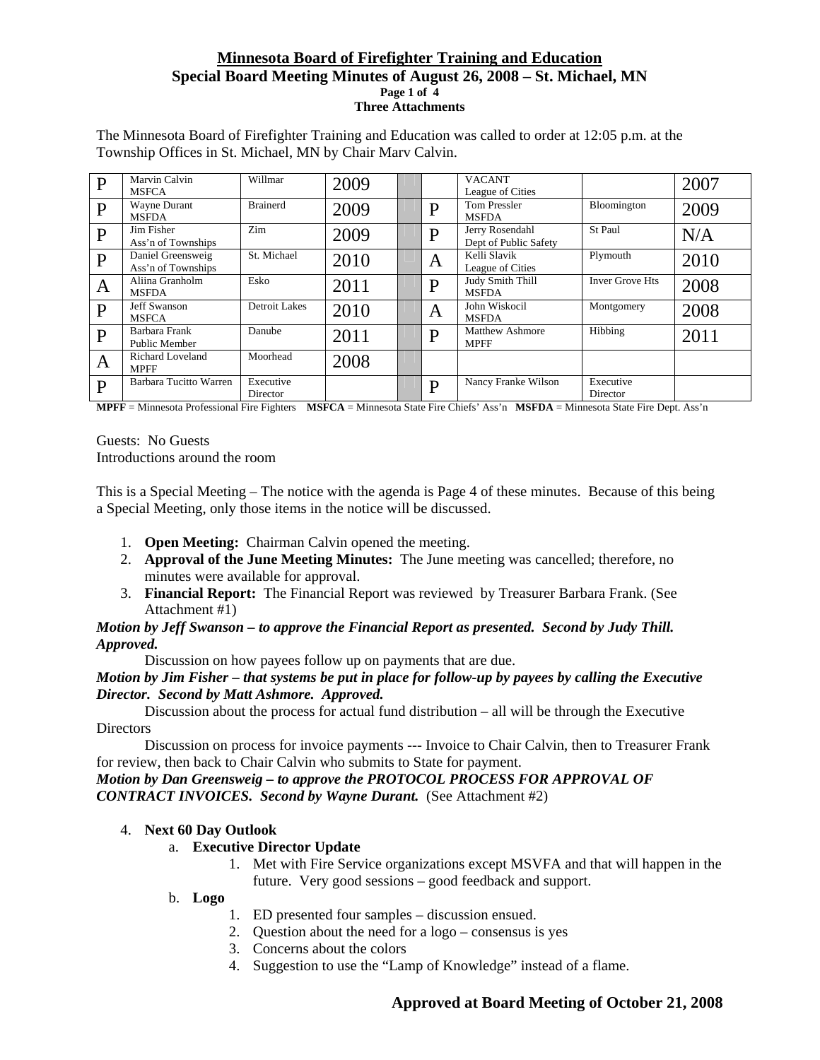### **Minnesota Board of Firefighter Training and Education Special Board Meeting Minutes of August 26, 2008 – St. Michael, MN Page 1 of 4 Three Attachments**

| P            | Marvin Calvin<br><b>MSFCA</b>           | Willmar               | 2009 |   | <b>VACANT</b><br>League of Cities        |                        | 2007 |
|--------------|-----------------------------------------|-----------------------|------|---|------------------------------------------|------------------------|------|
| $\mathbf{P}$ | Wayne Durant<br><b>MSFDA</b>            | <b>Brainerd</b>       | 2009 | D | <b>Tom Pressler</b><br><b>MSFDA</b>      | Bloomington            | 2009 |
| P            | Jim Fisher<br>Ass'n of Townships        | Zim                   | 2009 | D | Jerry Rosendahl<br>Dept of Public Safety | St Paul                | N/A  |
| $\mathbf{P}$ | Daniel Greensweig<br>Ass'n of Townships | St. Michael           | 2010 | A | Kelli Slavik<br>League of Cities         | Plymouth               | 2010 |
| A            | Aliina Granholm<br><b>MSFDA</b>         | Esko                  | 2011 | D | Judy Smith Thill<br><b>MSFDA</b>         | <b>Inver Grove Hts</b> | 2008 |
| P            | <b>Jeff Swanson</b><br><b>MSFCA</b>     | Detroit Lakes         | 2010 | A | John Wiskocil<br><b>MSFDA</b>            | Montgomery             | 2008 |
| P            | Barbara Frank<br>Public Member          | Danube                | 2011 | D | <b>Matthew Ashmore</b><br><b>MPFF</b>    | Hibbing                | 2011 |
| A            | Richard Loveland<br><b>MPFF</b>         | Moorhead              | 2008 |   |                                          |                        |      |
| P            | Barbara Tucitto Warren                  | Executive<br>Director |      | D | Nancy Franke Wilson                      | Executive<br>Director  |      |

The Minnesota Board of Firefighter Training and Education was called to order at 12:05 p.m. at the Township Offices in St. Michael, MN by Chair Marv Calvin.

**MPFF** = Minnesota Professional Fire Fighters **MSFCA** = Minnesota State Fire Chiefs' Ass'n **MSFDA** = Minnesota State Fire Dept. Ass'n

Guests: No Guests Introductions around the room

This is a Special Meeting – The notice with the agenda is Page 4 of these minutes. Because of this being a Special Meeting, only those items in the notice will be discussed.

- 1. **Open Meeting:** Chairman Calvin opened the meeting.
- 2. **Approval of the June Meeting Minutes:** The June meeting was cancelled; therefore, no minutes were available for approval.
- 3. **Financial Report:** The Financial Report was reviewed by Treasurer Barbara Frank. (See Attachment #1)

### *Motion by Jeff Swanson – to approve the Financial Report as presented. Second by Judy Thill. Approved.*

Discussion on how payees follow up on payments that are due.

### *Motion by Jim Fisher – that systems be put in place for follow-up by payees by calling the Executive Director. Second by Matt Ashmore. Approved.*

 Discussion about the process for actual fund distribution – all will be through the Executive **Directors** 

 Discussion on process for invoice payments --- Invoice to Chair Calvin, then to Treasurer Frank for review, then back to Chair Calvin who submits to State for payment.

*Motion by Dan Greensweig – to approve the PROTOCOL PROCESS FOR APPROVAL OF CONTRACT INVOICES. Second by Wayne Durant.*(See Attachment #2)

### 4. **Next 60 Day Outlook**

### a. **Executive Director Update**

1. Met with Fire Service organizations except MSVFA and that will happen in the future. Very good sessions – good feedback and support.

### b. **Logo**

- 1. ED presented four samples discussion ensued.
- 2. Question about the need for a logo consensus is yes
- 3. Concerns about the colors
- 4. Suggestion to use the "Lamp of Knowledge" instead of a flame.

## **Approved at Board Meeting of October 21, 2008**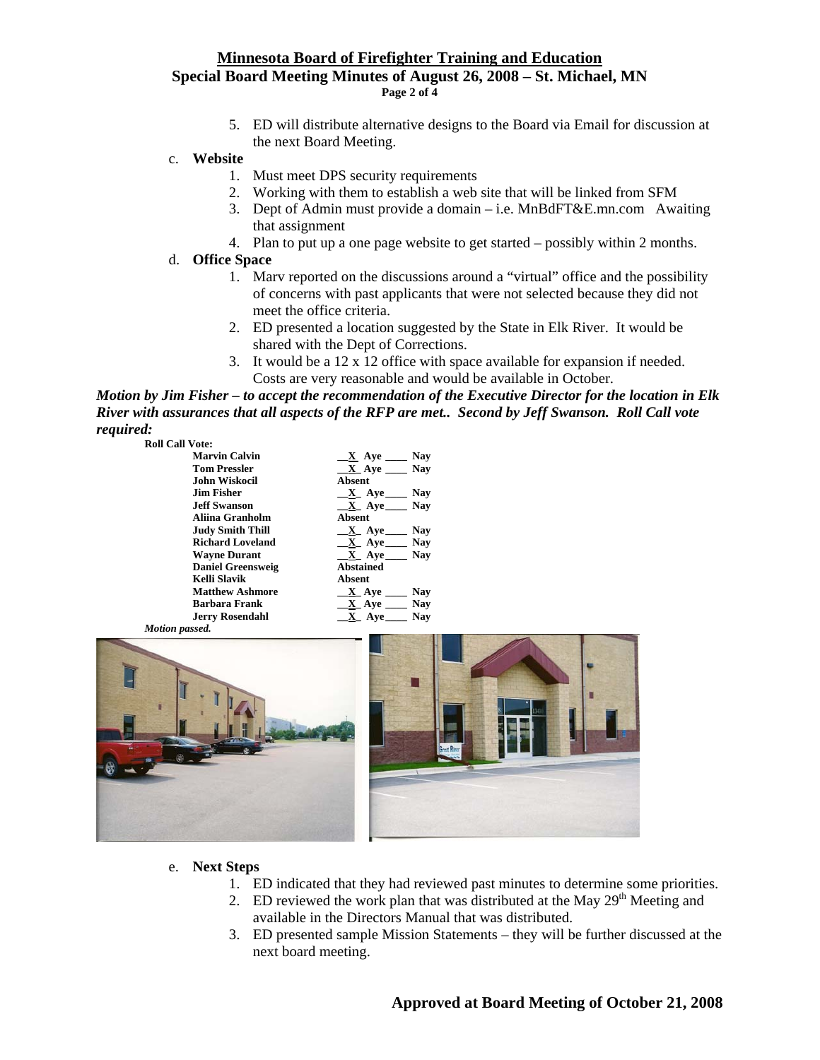### **Minnesota Board of Firefighter Training and Education Special Board Meeting Minutes of August 26, 2008 – St. Michael, MN Page 2 of 4**

- 5. ED will distribute alternative designs to the Board via Email for discussion at the next Board Meeting.
- c. **Website**
	- 1. Must meet DPS security requirements
	- 2. Working with them to establish a web site that will be linked from SFM
	- 3. Dept of Admin must provide a domain i.e. MnBdFT&E.mn.com Awaiting that assignment
	- 4. Plan to put up a one page website to get started possibly within 2 months.
- d. **Office Space**
	- 1. Marv reported on the discussions around a "virtual" office and the possibility of concerns with past applicants that were not selected because they did not meet the office criteria.
	- 2. ED presented a location suggested by the State in Elk River. It would be shared with the Dept of Corrections.
	- 3. It would be a 12 x 12 office with space available for expansion if needed. Costs are very reasonable and would be available in October.

*Motion by Jim Fisher – to accept the recommendation of the Executive Director for the location in Elk River with assurances that all aspects of the RFP are met.. Second by Jeff Swanson. Roll Call vote required:* 

| <b>Marvin Calvin</b>     | Nav<br>X Aye                               |
|--------------------------|--------------------------------------------|
| <b>Tom Pressler</b>      | $X$ Aye<br><b>Nav</b>                      |
| <b>John Wiskocil</b>     | <b>Absent</b>                              |
| <b>Jim Fisher</b>        | Nav<br>$X$ Aye                             |
| <b>Jeff Swanson</b>      | $X$ Aye<br><b>Nav</b>                      |
| Aliina Granholm          | <b>Absent</b>                              |
| <b>Judy Smith Thill</b>  | Nay<br>X Ave                               |
| <b>Richard Loveland</b>  | $X$ Aye<br><b>Nav</b>                      |
| <b>Wayne Durant</b>      | $\underline{\mathbf{X}}$ Aye ______<br>Nav |
| <b>Daniel Greensweig</b> | <b>Abstained</b>                           |
| Kelli Slavik             | Absent                                     |
| <b>Matthew Ashmore</b>   | <b>Nav</b><br>$X$ Aye $_$                  |
| <b>Barbara Frank</b>     | <b>Nav</b><br>X Ave                        |
| <b>Jerry Rosendahl</b>   | Nav<br>Aye.                                |
|                          |                                            |



- e. **Next Steps**
	- 1. ED indicated that they had reviewed past minutes to determine some priorities.
	- 2. ED reviewed the work plan that was distributed at the May  $29<sup>th</sup>$  Meeting and available in the Directors Manual that was distributed.
	- 3. ED presented sample Mission Statements they will be further discussed at the next board meeting.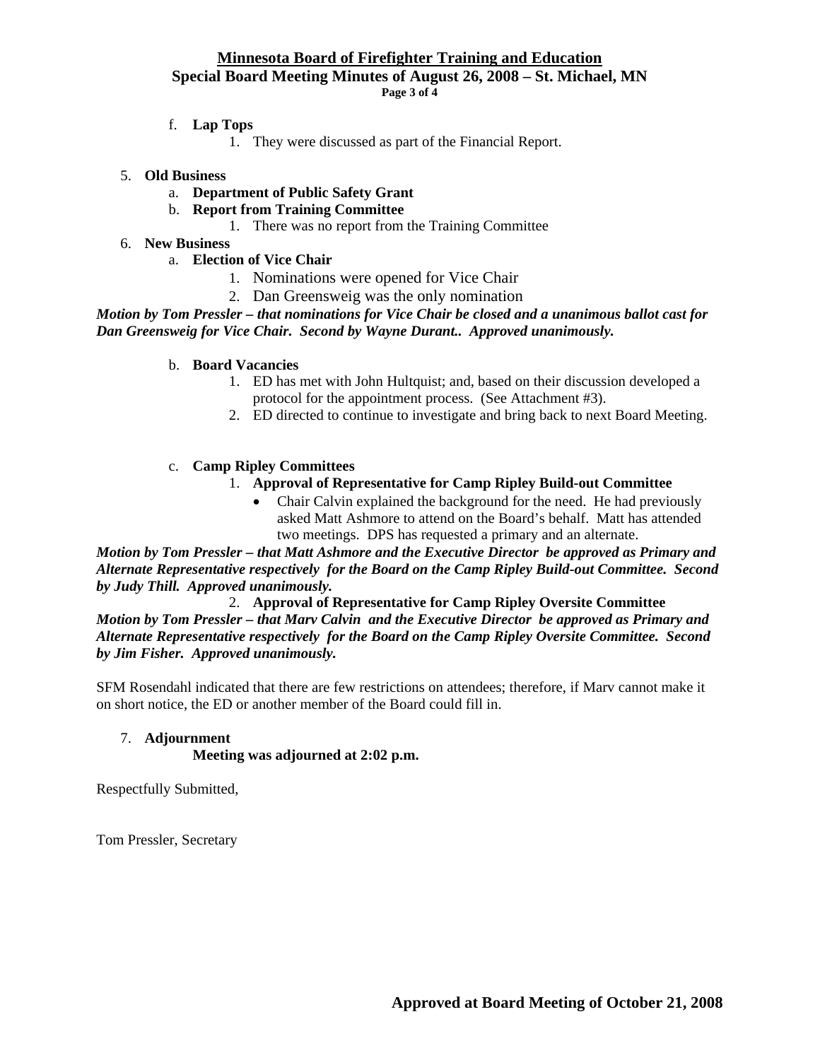### **Minnesota Board of Firefighter Training and Education Special Board Meeting Minutes of August 26, 2008 – St. Michael, MN Page 3 of 4**

### f. **Lap Tops**

1. They were discussed as part of the Financial Report.

### 5. **Old Business**

- a. **Department of Public Safety Grant**
- b. **Report from Training Committee**
	- 1. There was no report from the Training Committee
- 6. **New Business**
	- a. **Election of Vice Chair**
		- 1. Nominations were opened for Vice Chair
		- 2. Dan Greensweig was the only nomination

*Motion by Tom Pressler – that nominations for Vice Chair be closed and a unanimous ballot cast for Dan Greensweig for Vice Chair. Second by Wayne Durant.. Approved unanimously.* 

#### b. **Board Vacancies**

- 1. ED has met with John Hultquist; and, based on their discussion developed a protocol for the appointment process. (See Attachment #3).
- 2. ED directed to continue to investigate and bring back to next Board Meeting.

### c. **Camp Ripley Committees**

## 1. **Approval of Representative for Camp Ripley Build-out Committee**

• Chair Calvin explained the background for the need. He had previously asked Matt Ashmore to attend on the Board's behalf. Matt has attended two meetings. DPS has requested a primary and an alternate.

*Motion by Tom Pressler – that Matt Ashmore and the Executive Director be approved as Primary and Alternate Representative respectively for the Board on the Camp Ripley Build-out Committee. Second by Judy Thill. Approved unanimously.* 

2. **Approval of Representative for Camp Ripley Oversite Committee**

*Motion by Tom Pressler – that Marv Calvin and the Executive Director be approved as Primary and Alternate Representative respectively for the Board on the Camp Ripley Oversite Committee. Second by Jim Fisher. Approved unanimously.* 

SFM Rosendahl indicated that there are few restrictions on attendees; therefore, if Marv cannot make it on short notice, the ED or another member of the Board could fill in.

## 7. **Adjournment**

### **Meeting was adjourned at 2:02 p.m.**

Respectfully Submitted,

Tom Pressler, Secretary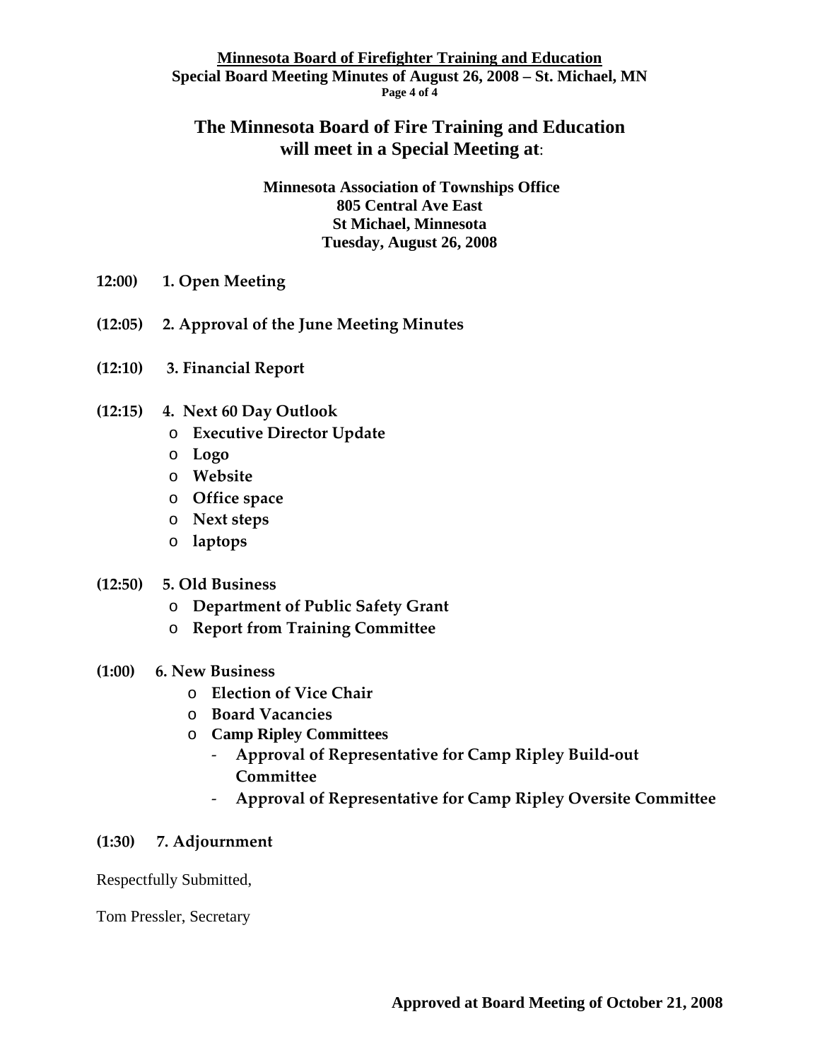## **Minnesota Board of Firefighter Training and Education Special Board Meeting Minutes of August 26, 2008 – St. Michael, MN Page 4 of 4**

# **The Minnesota Board of Fire Training and Education will meet in a Special Meeting at**:

**Minnesota Association of Townships Office 805 Central Ave East St Michael, Minnesota Tuesday, August 26, 2008** 

- **12:00) 1. Open Meeting**
- **(12:05) 2. Approval of the June Meeting Minutes**
- **(12:10) 3. Financial Report**
- **(12:15) 4. Next 60 Day Outlook**
	- o **Executive Director Update**
	- o **Logo**
	- o **Website**
	- o **Office space**
	- o **Next steps**
	- o **laptops**
- **(12:50) 5. Old Business**
	- o **Department of Public Safety Grant**
	- o **Report from Training Committee**
- **(1:00) 6. New Business**
	- o **Election of Vice Chair**
	- o **Board Vacancies**
	- o **Camp Ripley Committees**
		- ‐ **Approval of Representative for Camp Ripley Build‐out Committee**
		- ‐ **Approval of Representative for Camp Ripley Oversite Committee**

## **(1:30) 7. Adjournment**

Respectfully Submitted,

Tom Pressler, Secretary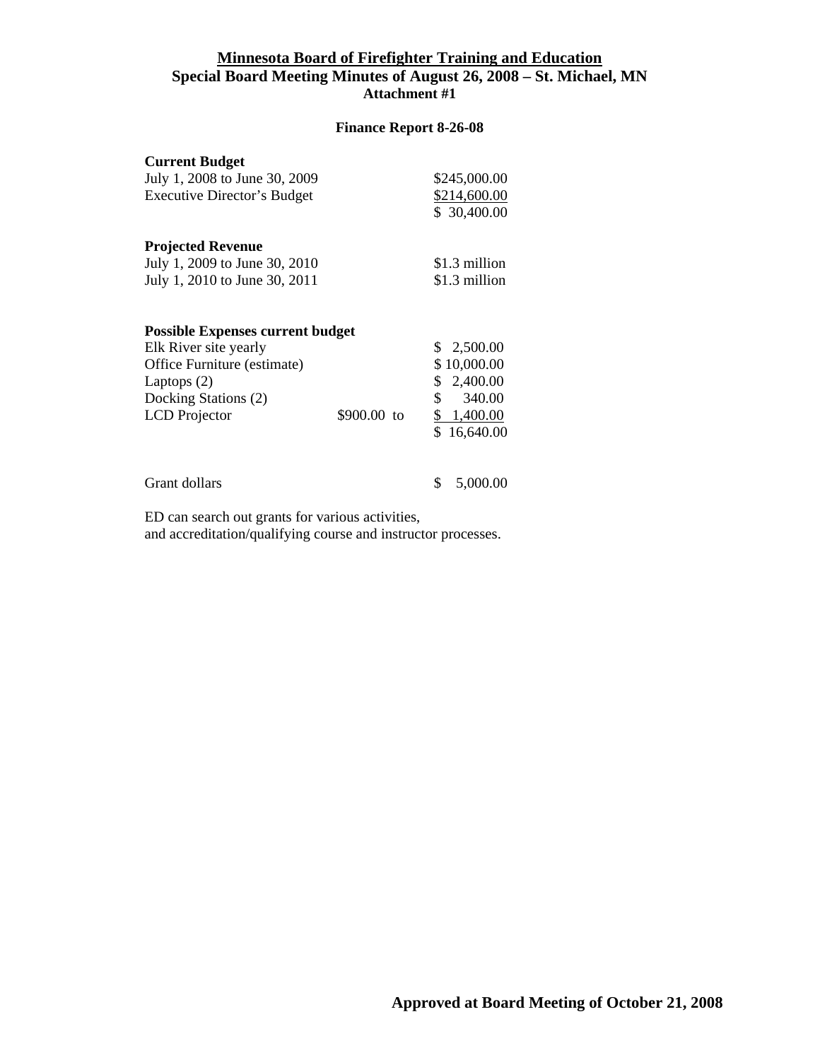## **Minnesota Board of Firefighter Training and Education Special Board Meeting Minutes of August 26, 2008 – St. Michael, MN Attachment #1**

### **Finance Report 8-26-08**

| <b>Current Budget</b><br>July 1, 2008 to June 30, 2009                                        |             | \$245,000.00                                                    |
|-----------------------------------------------------------------------------------------------|-------------|-----------------------------------------------------------------|
| <b>Executive Director's Budget</b>                                                            |             | \$214,600.00<br>\$30,400.00                                     |
| <b>Projected Revenue</b>                                                                      |             |                                                                 |
| July 1, 2009 to June 30, 2010                                                                 |             | \$1.3 million                                                   |
| July 1, 2010 to June 30, 2011                                                                 |             | \$1.3 million                                                   |
| Elk River site yearly<br>Office Furniture (estimate)<br>Laptops $(2)$<br>Docking Stations (2) |             | 2,500.00<br>S.<br>\$10,000.00<br>2,400.00<br>\$<br>\$<br>340.00 |
| <b>LCD</b> Projector                                                                          | \$900.00 to | \$ 1,400.00<br>16,640.00                                        |

Grant dollars \$ 5,000.00

 ED can search out grants for various activities, and accreditation/qualifying course and instructor processes.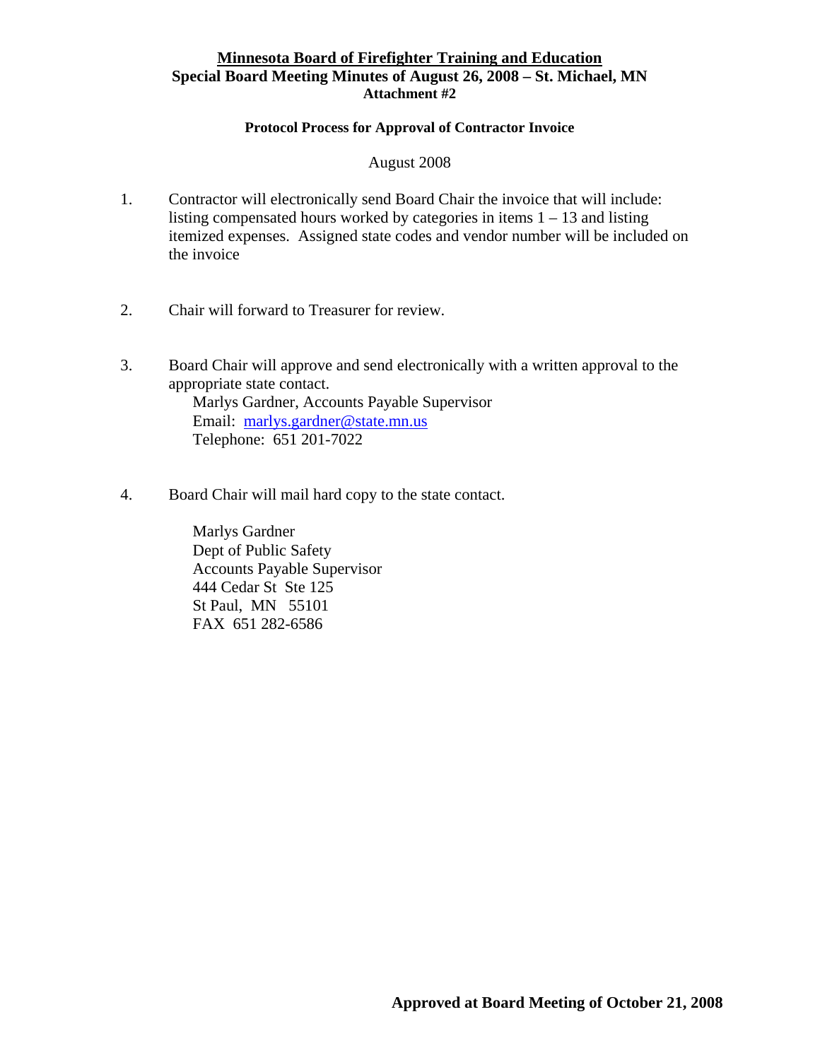## **Minnesota Board of Firefighter Training and Education Special Board Meeting Minutes of August 26, 2008 – St. Michael, MN Attachment #2**

### **Protocol Process for Approval of Contractor Invoice**

## August 2008

- 1. Contractor will electronically send Board Chair the invoice that will include: listing compensated hours worked by categories in items  $1 - 13$  and listing itemized expenses. Assigned state codes and vendor number will be included on the invoice
- 2. Chair will forward to Treasurer for review.
- 3. Board Chair will approve and send electronically with a written approval to the appropriate state contact. Marlys Gardner, Accounts Payable Supervisor Email: [marlys.gardner@state.mn.us](mailto:marlys.gardner@state.mn.us) Telephone: 651 201-7022
- 4. Board Chair will mail hard copy to the state contact.

Marlys Gardner Dept of Public Safety Accounts Payable Supervisor 444 Cedar St Ste 125 St Paul, MN 55101 FAX 651 282-6586